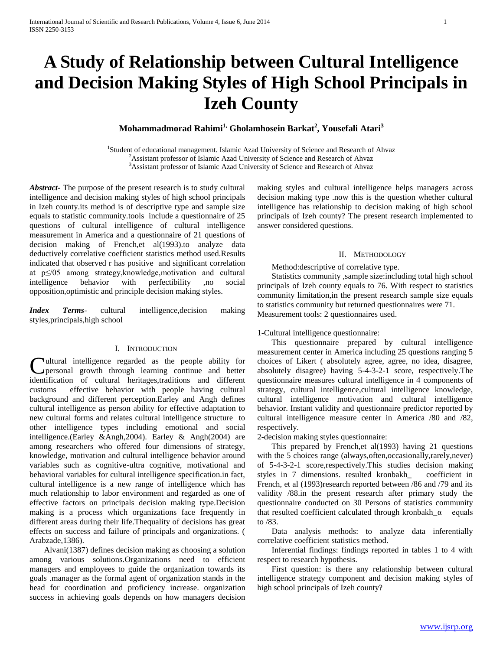# **A Study of Relationship between Cultural Intelligence and Decision Making Styles of High School Principals in Izeh County**

**Mohammadmorad Rahimi1, Gholamhosein Barkat<sup>2</sup> , Yousefali Atari<sup>3</sup>**

<sup>1</sup>Student of educational management. Islamic Azad University of Science and Research of Ahvaz <sup>2</sup>Assistant professor of Islamic Azad University of Science and Research of Ahvaz <sup>3</sup>Assistant professor of Islamic Azad University of Science and Research of Ahvaz

*Abstract***-** The purpose of the present research is to study cultural intelligence and decision making styles of high school principals in Izeh county.its method is of descriptive type and sample size equals to statistic community.tools include a questionnaire of 25 questions of cultural intelligence of cultural intelligence measurement in America and a questionnaire of 21 questions of decision making of French, et al(1993).to analyze data deductively correlative coefficient statistics method used.Results indicated that observed r has positive and significant correlation at p≤/05 among strategy,knowledge,motivation and cultural intelligence behavior with perfectibility ,no social opposition,optimistic and principle decision making styles.

*Index Terms*- cultural intelligence,decision making styles,principals,high school

## I. INTRODUCTION

ultural intelligence regarded as the people ability for personal growth through learning continue and better **C**ultural intelligence regarded as the people ability for personal growth through learning continue and better identification of cultural heritages,traditions and different customs effective behavior with people having cultural background and different perception.Earley and Angh defines cultural intelligence as person ability for effective adaptation to new cultural forms and relates cultural intelligence structure to other intelligence types including emotional and social intelligence.(Earley &Angh,2004). Earley & Angh(2004) are among researchers who offered four dimensions of strategy, knowledge, motivation and cultural intelligence behavior around variables such as cognitive-ultra cognitive, motivational and behavioral variables for cultural intelligence specification.in fact, cultural intelligence is a new range of intelligence which has much relationship to labor environment and regarded as one of effective factors on principals decision making type.Decision making is a process which organizations face frequently in different areas during their life.Thequality of decisions has great effects on success and failure of principals and organizations. ( Arabzade,1386).

 Alvani(1387) defines decision making as choosing a solution among various solutions.Organizations need to efficient managers and employees to guide the organization towards its goals .manager as the formal agent of organization stands in the head for coordination and proficiency increase. organization success in achieving goals depends on how managers decision

making styles and cultural intelligence helps managers across decision making type .now this is the question whether cultural intelligence has relationship to decision making of high school principals of Izeh county? The present research implemented to answer considered questions.

### II. METHODOLOGY

Method:descriptive of correlative type.

 Statistics community ,sample size:including total high school principals of Izeh county equals to 76. With respect to statistics community limitation,in the present research sample size equals to statistics community but returned questionnaires were 71. Measurement tools: 2 questionnaires used.

## 1-Cultural intelligence questionnaire:

 This questionnaire prepared by cultural intelligence measurement center in America including 25 questions ranging 5 choices of Likert ( absolutely agree, agree, no idea, disagree, absolutely disagree) having 5-4-3-2-1 score, respectively.The questionnaire measures cultural intelligence in 4 components of strategy, cultural intelligence,cultural intelligence knowledge, cultural intelligence motivation and cultural intelligence behavior. Instant validity and questionnaire predictor reported by cultural intelligence measure center in America /80 and /82, respectively.

2-decision making styles questionnaire:

This prepared by French, et al(1993) having 21 questions with the 5 choices range (always,often,occasionally,rarely,never) of 5-4-3-2-1 score,respectively.This studies decision making styles in 7 dimensions. resulted kronbakh\_ coefficient in French, et al (1993)research reported between /86 and /79 and its validity /88.in the present research after primary study the questionnaire conducted on 30 Persons of statistics community that resulted coefficient calculated through kronbakh\_α equals to /83.

 Data analysis methods: to analyze data inferentially correlative coefficient statistics method.

 Inferential findings: findings reported in tables 1 to 4 with respect to research hypothesis.

 First question: is there any relationship between cultural intelligence strategy component and decision making styles of high school principals of Izeh county?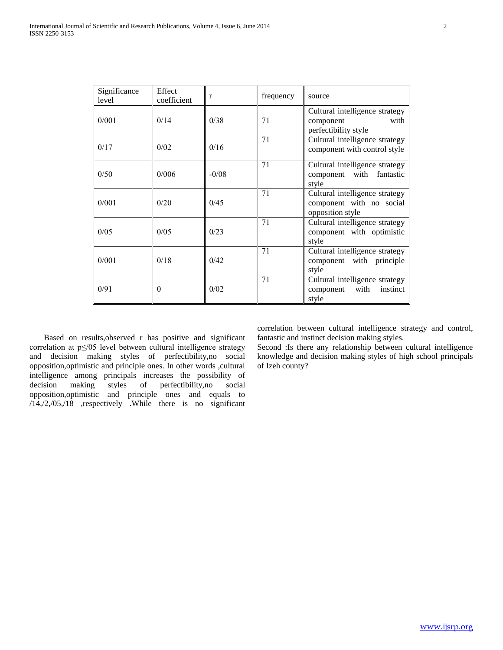| Significance<br>level | Effect<br>coefficient | r       | frequency | source                                                                         |
|-----------------------|-----------------------|---------|-----------|--------------------------------------------------------------------------------|
| 0/001                 | 0/14                  | 0/38    | 71        | Cultural intelligence strategy<br>with<br>component<br>perfectibility style    |
| 0/17                  | 0/02                  | 0/16    | 71        | Cultural intelligence strategy<br>component with control style                 |
| 0/50                  | 0/006                 | $-0/08$ | 71        | Cultural intelligence strategy<br>component with<br>fantastic<br>style         |
| 0/001                 | 0/20                  | 0/45    | 71        | Cultural intelligence strategy<br>component with no social<br>opposition style |
| 0/05                  | 0/0.5                 | 0/23    | 71        | Cultural intelligence strategy<br>component with optimistic<br>style           |
| 0/001                 | 0/18                  | 0/42    | 71        | Cultural intelligence strategy<br>component with principle<br>style            |
| 0/91                  | $\theta$              | 0/02    | 71        | Cultural intelligence strategy<br>instinct<br>component with<br>style          |

 Based on results,observed r has positive and significant correlation at p≤/05 level between cultural intelligence strategy and decision making styles of perfectibility,no social opposition,optimistic and principle ones. In other words ,cultural intelligence among principals increases the possibility of decision making styles of perfectibility,no social opposition,optimistic and principle ones and equals to /14,/2,/05,/18 ,respectively .While there is no significant correlation between cultural intelligence strategy and control, fantastic and instinct decision making styles.

Second :Is there any relationship between cultural intelligence knowledge and decision making styles of high school principals of Izeh county?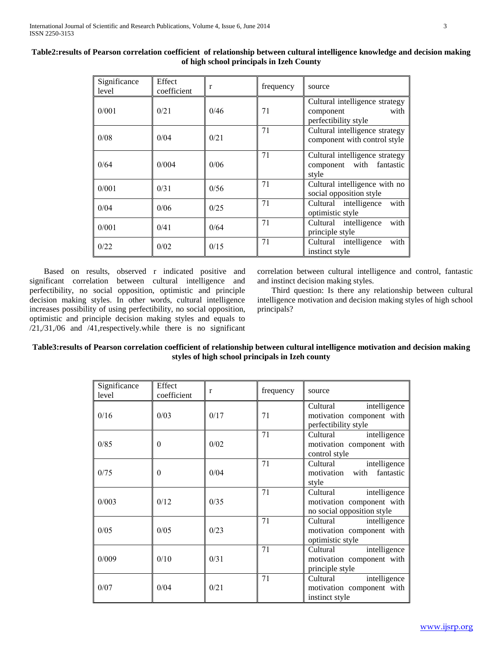| Significance<br>level | Effect<br>coefficient | r    | frequency | source                                                                      |
|-----------------------|-----------------------|------|-----------|-----------------------------------------------------------------------------|
| 0/001                 | 0/21                  | 0/46 | 71        | Cultural intelligence strategy<br>with<br>component<br>perfectibility style |
| 0/08                  | 0/04                  | 0/21 | 71        | Cultural intelligence strategy<br>component with control style              |
| 0/64                  | 0/004                 | 0/06 | 71        | Cultural intelligence strategy<br>component with fantastic<br>style         |
| 0/001                 | 0/31                  | 0/56 | 71        | Cultural intelligence with no<br>social opposition style                    |
| 0/04                  | 0/06                  | 0/25 | 71        | with<br>Cultural intelligence<br>optimistic style                           |
| 0/001                 | 0/41                  | 0/64 | 71        | with<br>Cultural intelligence<br>principle style                            |
| 0/22                  | 0/02                  | 0/15 | 71        | with<br>Cultural intelligence<br>instinct style                             |

**Table2:results of Pearson correlation coefficient of relationship between cultural intelligence knowledge and decision making of high school principals in Izeh County**

 Based on results, observed r indicated positive and significant correlation between cultural intelligence and perfectibility, no social opposition, optimistic and principle decision making styles. In other words, cultural intelligence increases possibility of using perfectibility, no social opposition, optimistic and principle decision making styles and equals to /21,/31,/06 and /41,respectively.while there is no significant correlation between cultural intelligence and control, fantastic and instinct decision making styles.

 Third question: Is there any relationship between cultural intelligence motivation and decision making styles of high school principals?

## **Table3:results of Pearson correlation coefficient of relationship between cultural intelligence motivation and decision making styles of high school principals in Izeh county**

| Significance<br>level | Effect<br>coefficient | r    | frequency | source                                                                              |
|-----------------------|-----------------------|------|-----------|-------------------------------------------------------------------------------------|
| 0/16                  | 0/03                  | 0/17 | 71        | intelligence<br>Cultural<br>motivation component with<br>perfectibility style       |
| 0/85                  | $\Omega$              | 0/02 | 71        | Cultural<br>intelligence<br>motivation component with<br>control style              |
| 0/75                  | $\Omega$              | 0/04 | 71        | Cultural<br>intelligence<br>with fantastic<br>motivation<br>style                   |
| 0/003                 | 0/12                  | 0/35 | 71        | Cultural<br>intelligence<br>motivation component with<br>no social opposition style |
| 0/05                  | 0/05                  | 0/23 | 71        | Cultural<br>intelligence<br>motivation component with<br>optimistic style           |
| 0/009                 | 0/10                  | 0/31 | 71        | Cultural<br>intelligence<br>motivation component with<br>principle style            |
| 0/07                  | 0/04                  | 0/21 | 71        | intelligence<br>Cultural<br>motivation component with<br>instinct style             |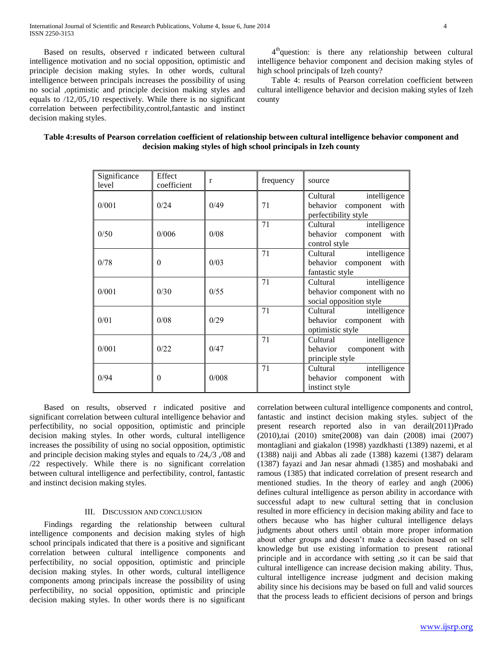Based on results, observed r indicated between cultural intelligence motivation and no social opposition, optimistic and principle decision making styles. In other words, cultural intelligence between principals increases the possibility of using no social ,optimistic and principle decision making styles and equals to /12,/05,/10 respectively. While there is no significant correlation between perfectibility,control,fantastic and instinct decision making styles.

4<sup>th</sup>question: is there any relationship between cultural intelligence behavior component and decision making styles of high school principals of Izeh county?

 Table 4: results of Pearson correlation coefficient between cultural intelligence behavior and decision making styles of Izeh county

## **Table 4:results of Pearson correlation coefficient of relationship between cultural intelligence behavior component and decision making styles of high school principals in Izeh county**

| Significance | Effect      |              |           |                            |
|--------------|-------------|--------------|-----------|----------------------------|
| level        | coefficient | $\mathbf{r}$ | frequency | source                     |
|              |             |              |           | Cultural<br>intelligence   |
| 0/001        | 0/24        | 0/49         | 71        | behavior component with    |
|              |             |              |           | perfectibility style       |
|              |             |              | 71        | intelligence<br>Cultural   |
| 0/50         | 0/006       | 0/08         |           | behavior component with    |
|              |             |              |           | control style              |
|              |             |              | 71        | Cultural<br>intelligence   |
| 0/78         | $\theta$    | 0/03         |           | behavior component with    |
|              |             |              |           | fantastic style            |
|              |             |              | 71        | intelligence<br>Cultural   |
| 0/001        | 0/30        | 0/55         |           | behavior component with no |
|              |             |              |           | social opposition style    |
|              |             |              | 71        | Cultural<br>intelligence   |
| 0/01         | 0/08        | 0/29         |           | behavior component with    |
|              |             |              |           | optimistic style           |
|              |             |              | 71        | Cultural<br>intelligence   |
| 0/001        | 0/22        | 0/47         |           | behavior component with    |
|              |             |              |           | principle style            |
|              |             |              | 71        | Cultural<br>intelligence   |
| 0/94         | $\theta$    | 0/008        |           | behavior component with    |
|              |             |              |           | instinct style             |

 Based on results, observed r indicated positive and significant correlation between cultural intelligence behavior and perfectibility, no social opposition, optimistic and principle decision making styles. In other words, cultural intelligence increases the possibility of using no social opposition, optimistic and principle decision making styles and equals to /24,/3 ,/08 and /22 respectively. While there is no significant correlation between cultural intelligence and perfectibility, control, fantastic and instinct decision making styles.

## III. DISCUSSION AND CONCLUSION

 Findings regarding the relationship between cultural intelligence components and decision making styles of high school principals indicated that there is a positive and significant correlation between cultural intelligence components and perfectibility, no social opposition, optimistic and principle decision making styles. In other words, cultural intelligence components among principals increase the possibility of using perfectibility, no social opposition, optimistic and principle decision making styles. In other words there is no significant

correlation between cultural intelligence components and control, fantastic and instinct decision making styles. subject of the present research reported also in van derail(2011)Prado (2010),tai (2010) smite(2008) van dain (2008) imai (2007) montagliani and giakalon (1998) yazdkhasti (1389) nazemi, et al (1388) naiji and Abbas ali zade (1388) kazemi (1387) delaram (1387) fayazi and Jan nesar ahmadi (1385) and moshabaki and ramous (1385) that indicated correlation of present research and mentioned studies. In the theory of earley and angh (2006) defines cultural intelligence as person ability in accordance with successful adapt to new cultural setting that in conclusion resulted in more efficiency in decision making ability and face to others because who has higher cultural intelligence delays judgments about others until obtain more proper information about other groups and doesn't make a decision based on self knowledge but use existing information to present rational principle and in accordance with setting ,so it can be said that cultural intelligence can increase decision making ability. Thus, cultural intelligence increase judgment and decision making ability since his decisions may be based on full and valid sources that the process leads to efficient decisions of person and brings